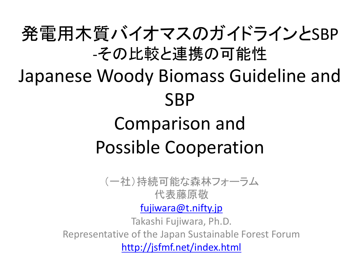## 発電用木質バイオマスのガイドラインとSBP -その比較と連携の可能性

# Japanese Woody Biomass Guideline and **SBP**

## Comparison and Possible Cooperation

(一社)持続可能な森林フォーラム 代表藤原敬

[fujiwara@t.nifty.jp](mailto:fujiwara@t.nifty.jp)

Takashi Fujiwara, Ph.D. Representative of the Japan Sustainable Forest Forum

<http://jsfmf.net/index.html>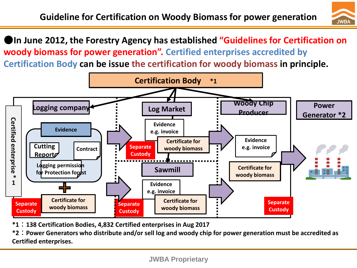

●**In June 2012, the Forestry Agency has established "Guidelines for Certification on woody biomass for power generation". Certified enterprises accredited by Certification Body can be issue the certification for woody biomass in principle.**



**\*1**:**138 Certification Bodies, 4,832 Certified enterprises in Aug 2017**

**\*2**:**Power Generators who distribute and/or sell log and woody chip for power generation must be accredited as Certified enterprises.**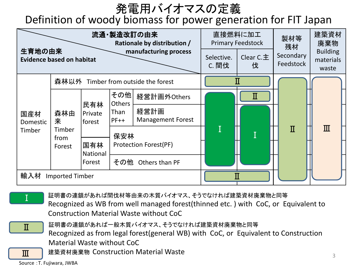### 発電用バイオマスの定義

#### Definition of woody biomass for power generation for FIT Japan





証明書の連鎖があれば間伐材等由来の木質バイオマス、そうでなければ建築資材廃棄物と同等 Recognized as WB from well managed forest(thinned etc. ) with CoC, or Equivalent to Construction Material Waste without CoC



証明書の連鎖があれば一般木質バイオマス、そうでなければ建築資材廃棄物と同等

Recognized as from legal forest(general WB) with CoC, or Equivalent to Construction Material Waste without CoC

**Ⅲ │** 建築資材廃棄物 Construction Material Waste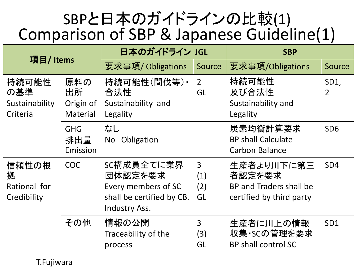## SBPと日本のガイドラインの比較(1) Comparison of SBP & Japanese Guideline(1)

| 項目/Items                                   |                                    | 日本のガイドライン JGL                                                                                     |                                    | <b>SBP</b>                                                                  |                        |
|--------------------------------------------|------------------------------------|---------------------------------------------------------------------------------------------------|------------------------------------|-----------------------------------------------------------------------------|------------------------|
|                                            |                                    | 要求事項/ Obligations                                                                                 | Source                             | 要求事項/Obligations                                                            | Source                 |
| 持続可能性<br>の基準<br>Sustainability<br>Criteria | 原料の<br>出所<br>Origin of<br>Material | 持続可能性(間伐等)·<br>合法性<br>Sustainability and<br>Legality                                              | $\overline{2}$<br>GL               | 持続可能性<br>及び合法性<br>Sustainability and<br>Legality                            | SD1,<br>$\overline{2}$ |
|                                            | <b>GHG</b><br>排出量<br>Emission      | なし<br>Obligation<br>No                                                                            |                                    | 炭素均衡計算要求<br><b>BP shall Calculate</b><br><b>Carbon Balance</b>              | SD <sub>6</sub>        |
| 信頼性の根<br>拠<br>Rational for<br>Credibility  | <b>COC</b>                         | SC構成員全てに業界<br>団体認定を要求<br>Every members of SC<br>shall be certified by CB.<br><b>Industry Ass.</b> | $\overline{3}$<br>(1)<br>(2)<br>GL | 生産者より川下に第三<br>者認定を要求<br>BP and Traders shall be<br>certified by third party | SD <sub>4</sub>        |
|                                            | その他                                | 情報の公開<br>Traceability of the<br>process                                                           | $\overline{3}$<br>(3)<br>GL        | 生産者に川上の情報<br>収集·SCの管理を要求<br><b>BP shall control SC</b>                      | SD <sub>1</sub>        |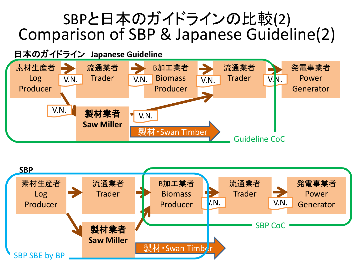## SBPと日本のガイドラインの比較(2) Comparison of SBP & Japanese Guideline(2)



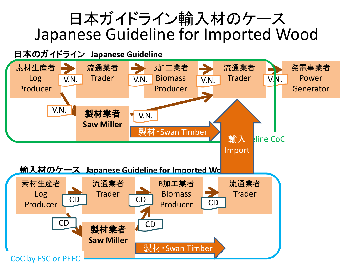### 日本ガイドライン輸入材のケース Japanese Guideline for Imported Wood